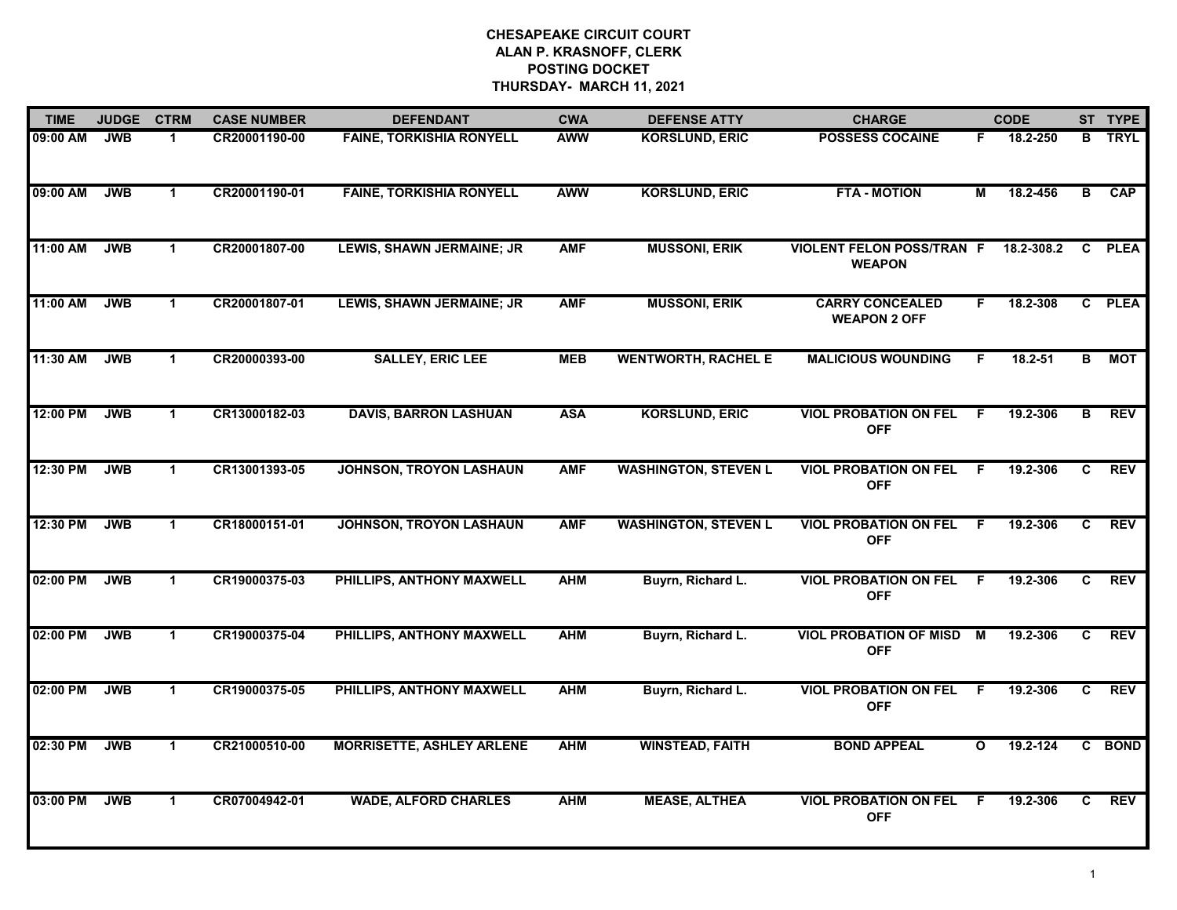| <b>TIME</b> | <b>JUDGE</b> | <b>CTRM</b>          | <b>CASE NUMBER</b> | <b>DEFENDANT</b>                 | <b>CWA</b> | <b>DEFENSE ATTY</b>         | <b>CHARGE</b>                                     |     | <b>CODE</b>  |              | ST TYPE     |
|-------------|--------------|----------------------|--------------------|----------------------------------|------------|-----------------------------|---------------------------------------------------|-----|--------------|--------------|-------------|
| 09:00 AM    | <b>JWB</b>   | $\mathbf 1$          | CR20001190-00      | <b>FAINE, TORKISHIA RONYELL</b>  | <b>AWW</b> | <b>KORSLUND, ERIC</b>       | <b>POSSESS COCAINE</b>                            | F.  | 18.2-250     | в            | <b>TRYL</b> |
| 09:00 AM    | <b>JWB</b>   | $\mathbf{1}$         | CR20001190-01      | <b>FAINE, TORKISHIA RONYELL</b>  | <b>AWW</b> | <b>KORSLUND, ERIC</b>       | <b>FTA - MOTION</b>                               | М   | 18.2-456     | B            | CAP         |
| 11:00 AM    | <b>JWB</b>   | $\mathbf{1}$         | CR20001807-00      | LEWIS, SHAWN JERMAINE; JR        | <b>AMF</b> | <b>MUSSONI, ERIK</b>        | <b>VIOLENT FELON POSS/TRAN F</b><br><b>WEAPON</b> |     | 18.2-308.2   | $\mathbf{C}$ | <b>PLEA</b> |
| 11:00 AM    | <b>JWB</b>   | $\mathbf 1$          | CR20001807-01      | LEWIS, SHAWN JERMAINE; JR        | <b>AMF</b> | <b>MUSSONI, ERIK</b>        | <b>CARRY CONCEALED</b><br><b>WEAPON 2 OFF</b>     | F.  | 18.2-308     |              | C PLEA      |
| 11:30 AM    | <b>JWB</b>   | $\mathbf{1}$         | CR20000393-00      | <b>SALLEY, ERIC LEE</b>          | <b>MEB</b> | <b>WENTWORTH, RACHEL E</b>  | <b>MALICIOUS WOUNDING</b>                         | F.  | 18.2-51      | B            | <b>MOT</b>  |
| 12:00 PM    | <b>JWB</b>   | $\mathbf 1$          | CR13000182-03      | <b>DAVIS, BARRON LASHUAN</b>     | <b>ASA</b> | <b>KORSLUND, ERIC</b>       | <b>VIOL PROBATION ON FEL</b><br><b>OFF</b>        | F.  | 19.2-306     | в            | <b>REV</b>  |
| 12:30 PM    | <b>JWB</b>   | $\mathbf{1}$         | CR13001393-05      | <b>JOHNSON, TROYON LASHAUN</b>   | <b>AMF</b> | <b>WASHINGTON, STEVEN L</b> | <b>VIOL PROBATION ON FEL</b><br><b>OFF</b>        | - F | 19.2-306     | C            | <b>REV</b>  |
| 12:30 PM    | <b>JWB</b>   | $\blacktriangleleft$ | CR18000151-01      | <b>JOHNSON, TROYON LASHAUN</b>   | <b>AMF</b> | <b>WASHINGTON, STEVEN L</b> | <b>VIOL PROBATION ON FEL</b><br><b>OFF</b>        | F.  | 19.2-306     | C            | <b>REV</b>  |
| 02:00 PM    | <b>JWB</b>   | $\mathbf 1$          | CR19000375-03      | PHILLIPS, ANTHONY MAXWELL        | <b>AHM</b> | Buyrn, Richard L.           | <b>VIOL PROBATION ON FEL</b><br><b>OFF</b>        | -F  | 19.2-306     | C            | <b>REV</b>  |
| 02:00 PM    | <b>JWB</b>   | $\mathbf{1}$         | CR19000375-04      | PHILLIPS, ANTHONY MAXWELL        | <b>AHM</b> | Buyrn, Richard L.           | <b>VIOL PROBATION OF MISD</b><br><b>OFF</b>       | M   | 19.2-306     | C            | <b>REV</b>  |
| 02:00 PM    | <b>JWB</b>   | $\mathbf 1$          | CR19000375-05      | PHILLIPS, ANTHONY MAXWELL        | <b>AHM</b> | Buyrn, Richard L.           | <b>VIOL PROBATION ON FEL</b><br><b>OFF</b>        | -F  | 19.2-306     | C.           | <b>REV</b>  |
| 02:30 PM    | <b>JWB</b>   | $\mathbf{1}$         | CR21000510-00      | <b>MORRISETTE, ASHLEY ARLENE</b> | <b>AHM</b> | <b>WINSTEAD, FAITH</b>      | <b>BOND APPEAL</b>                                | O   | $19.2 - 124$ |              | C BOND      |
| 03:00 PM    | <b>JWB</b>   | $\mathbf 1$          | CR07004942-01      | <b>WADE, ALFORD CHARLES</b>      | <b>AHM</b> | <b>MEASE, ALTHEA</b>        | <b>VIOL PROBATION ON FEL</b><br><b>OFF</b>        | F   | 19.2-306     | C            | <b>REV</b>  |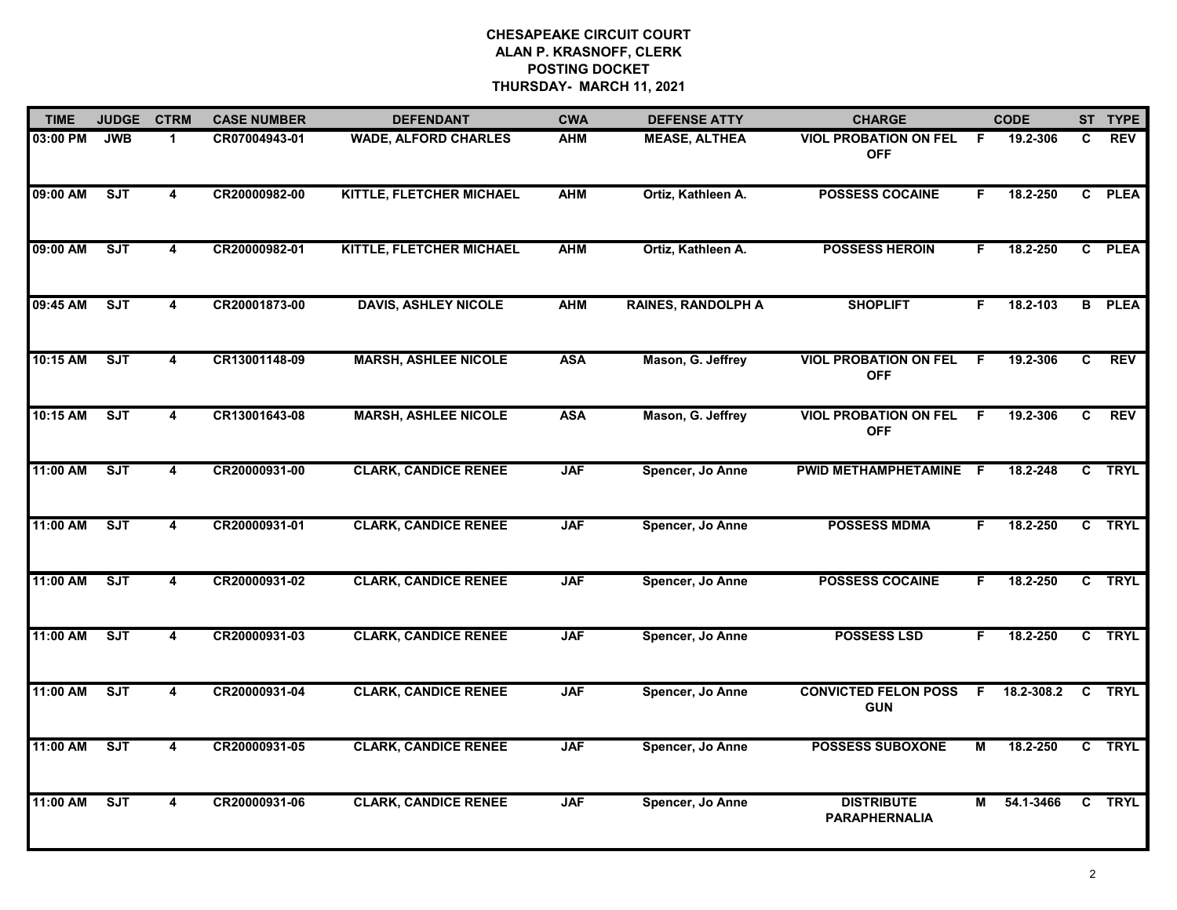| <b>TIME</b> | <b>JUDGE</b> | <b>CTRM</b>             | <b>CASE NUMBER</b> | <b>DEFENDANT</b>                | <b>CWA</b> | <b>DEFENSE ATTY</b>       | <b>CHARGE</b>                              |     | <b>CODE</b> |              | ST TYPE       |
|-------------|--------------|-------------------------|--------------------|---------------------------------|------------|---------------------------|--------------------------------------------|-----|-------------|--------------|---------------|
| 03:00 PM    | <b>JWB</b>   | $\blacktriangleleft$    | CR07004943-01      | <b>WADE, ALFORD CHARLES</b>     | <b>AHM</b> | <b>MEASE, ALTHEA</b>      | <b>VIOL PROBATION ON FEL</b><br><b>OFF</b> | F.  | 19.2-306    | C.           | <b>REV</b>    |
| 09:00 AM    | ST           | $\overline{\mathbf{4}}$ | CR20000982-00      | KITTLE, FLETCHER MICHAEL        | <b>AHM</b> | Ortiz, Kathleen A.        | <b>POSSESS COCAINE</b>                     | F.  | 18.2-250    |              | C PLEA        |
| 09:00 AM    | SJT          | $\overline{\mathbf{4}}$ | CR20000982-01      | <b>KITTLE, FLETCHER MICHAEL</b> | <b>AHM</b> | Ortiz, Kathleen A.        | <b>POSSESS HEROIN</b>                      | F.  | 18.2-250    |              | C PLEA        |
| 09:45 AM    | <b>SJT</b>   | 4                       | CR20001873-00      | <b>DAVIS, ASHLEY NICOLE</b>     | <b>AHM</b> | <b>RAINES, RANDOLPH A</b> | <b>SHOPLIFT</b>                            | F.  | 18.2-103    |              | <b>B</b> PLEA |
| 10:15 AM    | SJT          | 4                       | CR13001148-09      | <b>MARSH, ASHLEE NICOLE</b>     | <b>ASA</b> | Mason, G. Jeffrey         | <b>VIOL PROBATION ON FEL</b><br><b>OFF</b> | F.  | 19.2-306    | C.           | <b>REV</b>    |
| 10:15 AM    | SJT          | 4                       | CR13001643-08      | <b>MARSH, ASHLEE NICOLE</b>     | <b>ASA</b> | Mason, G. Jeffrey         | <b>VIOL PROBATION ON FEL</b><br><b>OFF</b> | F.  | 19.2-306    | C.           | <b>REV</b>    |
| 11:00 AM    | ST           | 4                       | CR20000931-00      | <b>CLARK, CANDICE RENEE</b>     | <b>JAF</b> | Spencer, Jo Anne          | PWID METHAMPHETAMINE                       | - F | 18.2-248    |              | C TRYL        |
| 11:00 AM    | SJT          | 4                       | CR20000931-01      | <b>CLARK, CANDICE RENEE</b>     | <b>JAF</b> | Spencer, Jo Anne          | <b>POSSESS MDMA</b>                        | F.  | 18.2-250    |              | C TRYL        |
| 11:00 AM    | <b>SJT</b>   | 4                       | CR20000931-02      | <b>CLARK, CANDICE RENEE</b>     | <b>JAF</b> | Spencer, Jo Anne          | <b>POSSESS COCAINE</b>                     | F.  | 18.2-250    |              | C TRYL        |
| 11:00 AM    | ST           | 4                       | CR20000931-03      | <b>CLARK, CANDICE RENEE</b>     | <b>JAF</b> | Spencer, Jo Anne          | <b>POSSESS LSD</b>                         | F.  | 18.2-250    |              | C TRYL        |
| 11:00 AM    | ST           | 4                       | CR20000931-04      | <b>CLARK, CANDICE RENEE</b>     | <b>JAF</b> | Spencer, Jo Anne          | <b>CONVICTED FELON POSS</b><br><b>GUN</b>  | F.  | 18.2-308.2  | $\mathbf{C}$ | <b>TRYL</b>   |
| 11:00 AM    | SJT          | 4                       | CR20000931-05      | <b>CLARK, CANDICE RENEE</b>     | <b>JAF</b> | Spencer, Jo Anne          | <b>POSSESS SUBOXONE</b>                    | М   | 18.2-250    |              | C TRYL        |
| 11:00 AM    | ST           | 4                       | CR20000931-06      | <b>CLARK, CANDICE RENEE</b>     | <b>JAF</b> | Spencer, Jo Anne          | <b>DISTRIBUTE</b><br><b>PARAPHERNALIA</b>  | М   | 54.1-3466   |              | C TRYL        |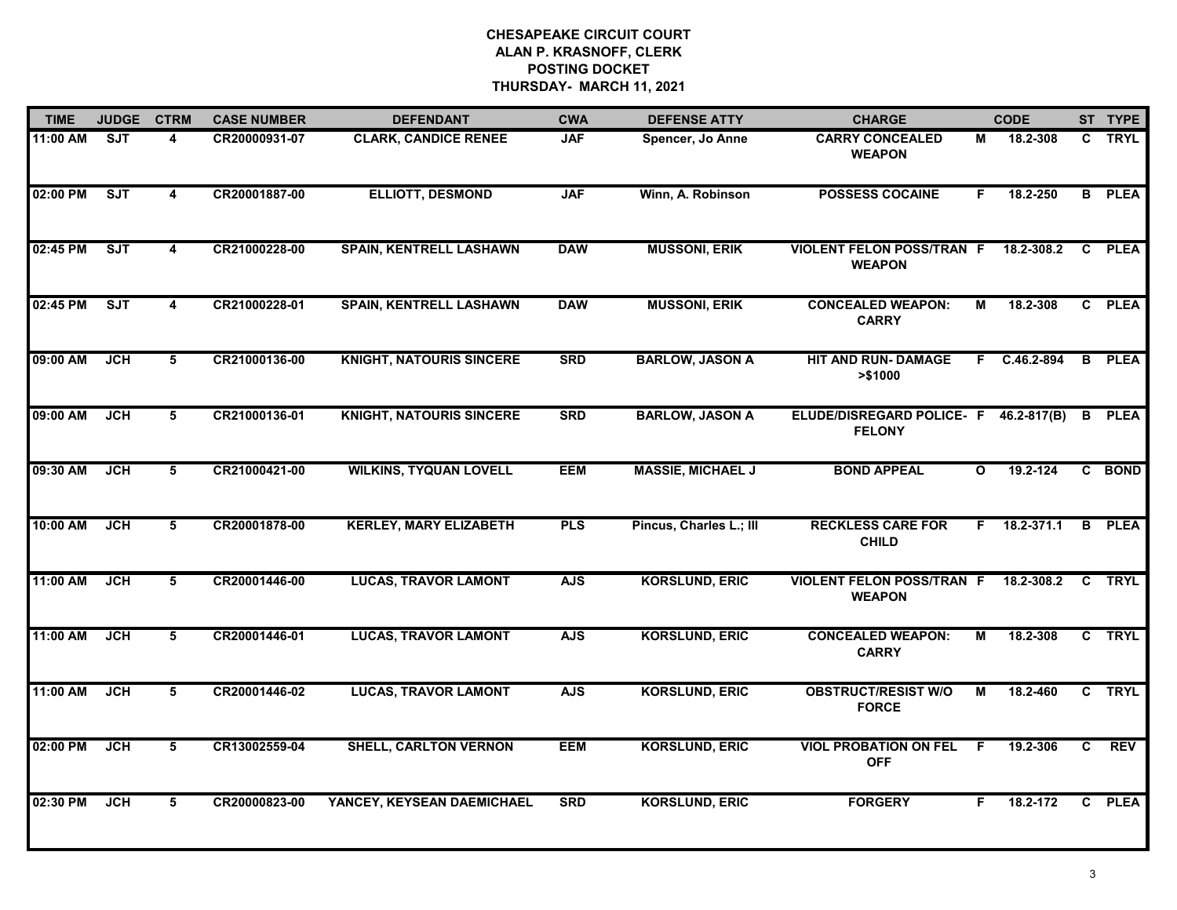| <b>TIME</b> | <b>JUDGE</b> | <b>CTRM</b>             | <b>CASE NUMBER</b> | <b>DEFENDANT</b>                | <b>CWA</b> | <b>DEFENSE ATTY</b>      | <b>CHARGE</b>                                     |              | <b>CODE</b>  |              | ST TYPE       |
|-------------|--------------|-------------------------|--------------------|---------------------------------|------------|--------------------------|---------------------------------------------------|--------------|--------------|--------------|---------------|
| 11:00 AM    | <b>SJT</b>   | 4                       | CR20000931-07      | <b>CLARK, CANDICE RENEE</b>     | <b>JAF</b> | Spencer, Jo Anne         | <b>CARRY CONCEALED</b><br><b>WEAPON</b>           | М            | 18.2-308     |              | C TRYL        |
| 02:00 PM    | <b>SJT</b>   | $\overline{\mathbf{4}}$ | CR20001887-00      | <b>ELLIOTT, DESMOND</b>         | <b>JAF</b> | Winn, A. Robinson        | <b>POSSESS COCAINE</b>                            | F            | 18.2-250     |              | <b>B</b> PLEA |
| 02:45 PM    | ST           | 4                       | CR21000228-00      | <b>SPAIN, KENTRELL LASHAWN</b>  | <b>DAW</b> | <b>MUSSONI, ERIK</b>     | <b>VIOLENT FELON POSS/TRAN F</b><br><b>WEAPON</b> |              | 18.2-308.2   | C.           | <b>PLEA</b>   |
| 02:45 PM    | SJT          | 4                       | CR21000228-01      | <b>SPAIN, KENTRELL LASHAWN</b>  | <b>DAW</b> | <b>MUSSONI, ERIK</b>     | <b>CONCEALED WEAPON:</b><br><b>CARRY</b>          | М            | 18.2-308     |              | C PLEA        |
| 09:00 AM    | <b>JCH</b>   | 5                       | CR21000136-00      | <b>KNIGHT, NATOURIS SINCERE</b> | <b>SRD</b> | <b>BARLOW, JASON A</b>   | <b>HIT AND RUN- DAMAGE</b><br>> \$1000            |              | F C.46.2-894 | B.           | <b>PLEA</b>   |
| 09:00 AM    | <b>JCH</b>   | 5                       | CR21000136-01      | <b>KNIGHT, NATOURIS SINCERE</b> | <b>SRD</b> | <b>BARLOW, JASON A</b>   | <b>ELUDE/DISREGARD POLICE- F</b><br><b>FELONY</b> |              | 46.2-817(B)  | B            | <b>PLEA</b>   |
| 09:30 AM    | <b>JCH</b>   | $\overline{5}$          | CR21000421-00      | <b>WILKINS, TYQUAN LOVELL</b>   | <b>EEM</b> | <b>MASSIE, MICHAEL J</b> | <b>BOND APPEAL</b>                                | $\mathbf{o}$ | 19.2-124     | $\mathbf{C}$ | <b>BOND</b>   |
| 10:00 AM    | <b>JCH</b>   | 5                       | CR20001878-00      | <b>KERLEY, MARY ELIZABETH</b>   | <b>PLS</b> | Pincus, Charles L.; III  | <b>RECKLESS CARE FOR</b><br><b>CHILD</b>          | F.           | 18.2-371.1   |              | <b>B</b> PLEA |
| 11:00 AM    | JCH          | 5                       | CR20001446-00      | <b>LUCAS, TRAVOR LAMONT</b>     | <b>AJS</b> | <b>KORSLUND, ERIC</b>    | <b>VIOLENT FELON POSS/TRAN F</b><br><b>WEAPON</b> |              | 18.2-308.2   | C            | <b>TRYL</b>   |
| 11:00 AM    | JCH          | 5                       | CR20001446-01      | <b>LUCAS, TRAVOR LAMONT</b>     | <b>AJS</b> | <b>KORSLUND, ERIC</b>    | <b>CONCEALED WEAPON:</b><br><b>CARRY</b>          | М            | 18.2-308     |              | C TRYL        |
| 11:00 AM    | <b>JCH</b>   | 5                       | CR20001446-02      | <b>LUCAS, TRAVOR LAMONT</b>     | <b>AJS</b> | <b>KORSLUND, ERIC</b>    | <b>OBSTRUCT/RESIST W/O</b><br><b>FORCE</b>        | М            | 18.2-460     |              | C TRYL        |
| 02:00 PM    | <b>JCH</b>   | 5                       | CR13002559-04      | <b>SHELL, CARLTON VERNON</b>    | <b>EEM</b> | <b>KORSLUND, ERIC</b>    | <b>VIOL PROBATION ON FEL</b><br><b>OFF</b>        | F.           | 19.2-306     | C            | <b>REV</b>    |
| 02:30 PM    | <b>JCH</b>   | 5                       | CR20000823-00      | YANCEY, KEYSEAN DAEMICHAEL      | <b>SRD</b> | <b>KORSLUND, ERIC</b>    | <b>FORGERY</b>                                    | F.           | 18.2-172     |              | C PLEA        |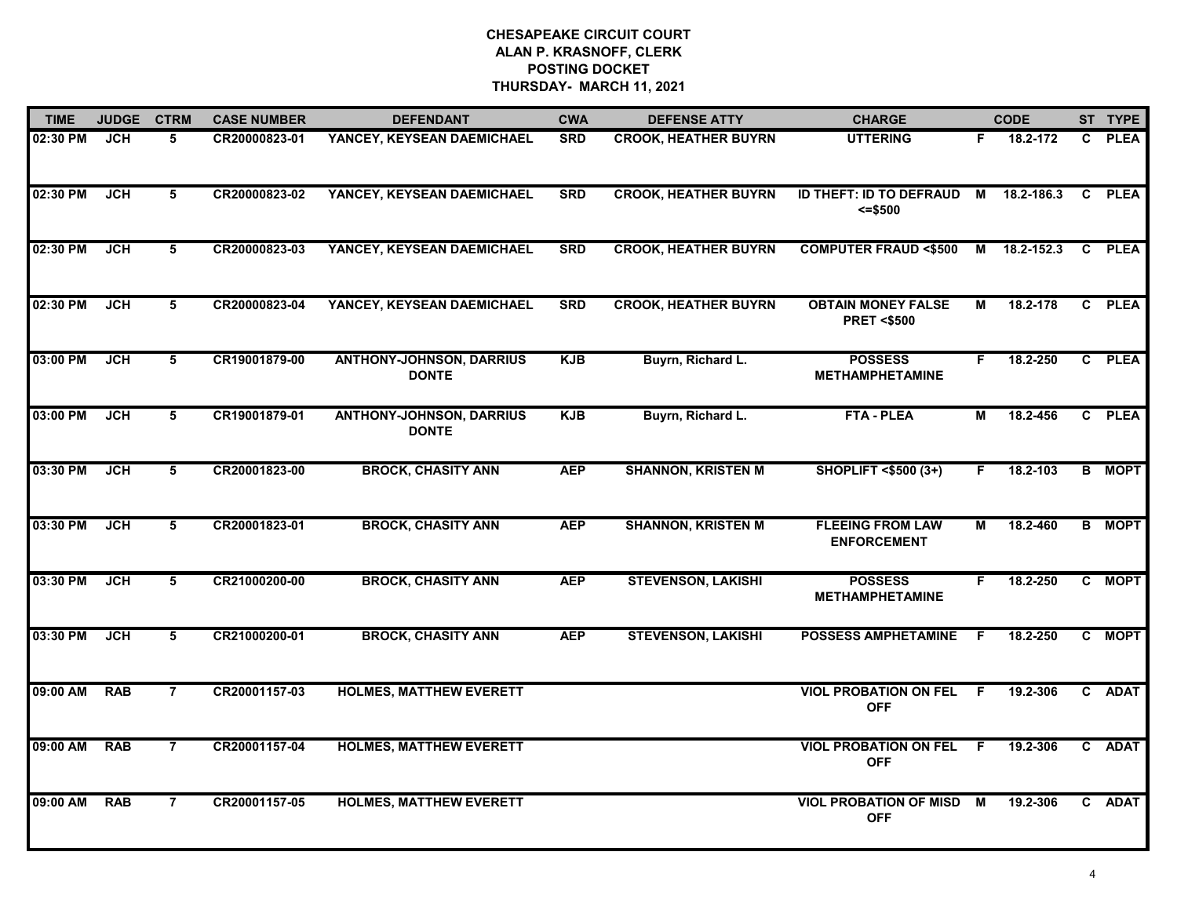| <b>TIME</b> | <b>JUDGE</b> | <b>CTRM</b>    | <b>CASE NUMBER</b> | <b>DEFENDANT</b>                                | <b>CWA</b> | <b>DEFENSE ATTY</b>         | <b>CHARGE</b>                                      |    | <b>CODE</b> | ST TYPE       |
|-------------|--------------|----------------|--------------------|-------------------------------------------------|------------|-----------------------------|----------------------------------------------------|----|-------------|---------------|
| 02:30 PM    | <b>JCH</b>   | 5              | CR20000823-01      | YANCEY, KEYSEAN DAEMICHAEL                      | <b>SRD</b> | <b>CROOK, HEATHER BUYRN</b> | <b>UTTERING</b>                                    | F. | 18.2-172    | C PLEA        |
| 02:30 PM    | JCH          | 5              | CR20000823-02      | YANCEY, KEYSEAN DAEMICHAEL                      | <b>SRD</b> | <b>CROOK, HEATHER BUYRN</b> | ID THEFT: ID TO DEFRAUD<br>$= $500$                | М  | 18.2-186.3  | C PLEA        |
| 02:30 PM    | JCH          | 5              | CR20000823-03      | YANCEY, KEYSEAN DAEMICHAEL                      | <b>SRD</b> | <b>CROOK, HEATHER BUYRN</b> | <b>COMPUTER FRAUD &lt;\$500</b>                    | М  | 18.2-152.3  | C PLEA        |
| 02:30 PM    | <b>JCH</b>   | 5              | CR20000823-04      | YANCEY, KEYSEAN DAEMICHAEL                      | <b>SRD</b> | <b>CROOK, HEATHER BUYRN</b> | <b>OBTAIN MONEY FALSE</b><br><b>PRET &lt;\$500</b> | М  | 18.2-178    | C PLEA        |
| 03:00 PM    | <b>JCH</b>   | 5              | CR19001879-00      | <b>ANTHONY-JOHNSON, DARRIUS</b><br><b>DONTE</b> | <b>KJB</b> | Buyrn, Richard L.           | <b>POSSESS</b><br><b>METHAMPHETAMINE</b>           | F. | 18.2-250    | C PLEA        |
| 03:00 PM    | JCH          | 5              | CR19001879-01      | <b>ANTHONY-JOHNSON, DARRIUS</b><br><b>DONTE</b> | <b>KJB</b> | Buyrn, Richard L.           | <b>FTA - PLEA</b>                                  | М  | 18.2-456    | C PLEA        |
| 03:30 PM    | <b>JCH</b>   | 5              | CR20001823-00      | <b>BROCK, CHASITY ANN</b>                       | <b>AEP</b> | <b>SHANNON, KRISTEN M</b>   | <b>SHOPLIFT &lt;\$500 (3+)</b>                     | F. | 18.2-103    | <b>B</b> MOPT |
| 03:30 PM    | <b>JCH</b>   | 5              | CR20001823-01      | <b>BROCK, CHASITY ANN</b>                       | <b>AEP</b> | <b>SHANNON, KRISTEN M</b>   | <b>FLEEING FROM LAW</b><br><b>ENFORCEMENT</b>      | М  | 18.2-460    | <b>B</b> MOPT |
| 03:30 PM    | <b>JCH</b>   | 5              | CR21000200-00      | <b>BROCK, CHASITY ANN</b>                       | <b>AEP</b> | <b>STEVENSON, LAKISHI</b>   | <b>POSSESS</b><br><b>METHAMPHETAMINE</b>           | F. | 18.2-250    | C MOPT        |
| 03:30 PM    | <b>JCH</b>   | 5              | CR21000200-01      | <b>BROCK, CHASITY ANN</b>                       | <b>AEP</b> | <b>STEVENSON, LAKISHI</b>   | <b>POSSESS AMPHETAMINE</b>                         | F. | 18.2-250    | C MOPT        |
| 09:00 AM    | <b>RAB</b>   | $\overline{7}$ | CR20001157-03      | <b>HOLMES, MATTHEW EVERETT</b>                  |            |                             | <b>VIOL PROBATION ON FEL</b><br><b>OFF</b>         | F. | 19.2-306    | C ADAT        |
| 09:00 AM    | <b>RAB</b>   | $\overline{7}$ | CR20001157-04      | <b>HOLMES, MATTHEW EVERETT</b>                  |            |                             | <b>VIOL PROBATION ON FEL</b><br><b>OFF</b>         | F  | 19.2-306    | C ADAT        |
| 09:00 AM    | <b>RAB</b>   | $\overline{7}$ | CR20001157-05      | <b>HOLMES, MATTHEW EVERETT</b>                  |            |                             | <b>VIOL PROBATION OF MISD</b><br><b>OFF</b>        | M  | 19.2-306    | C ADAT        |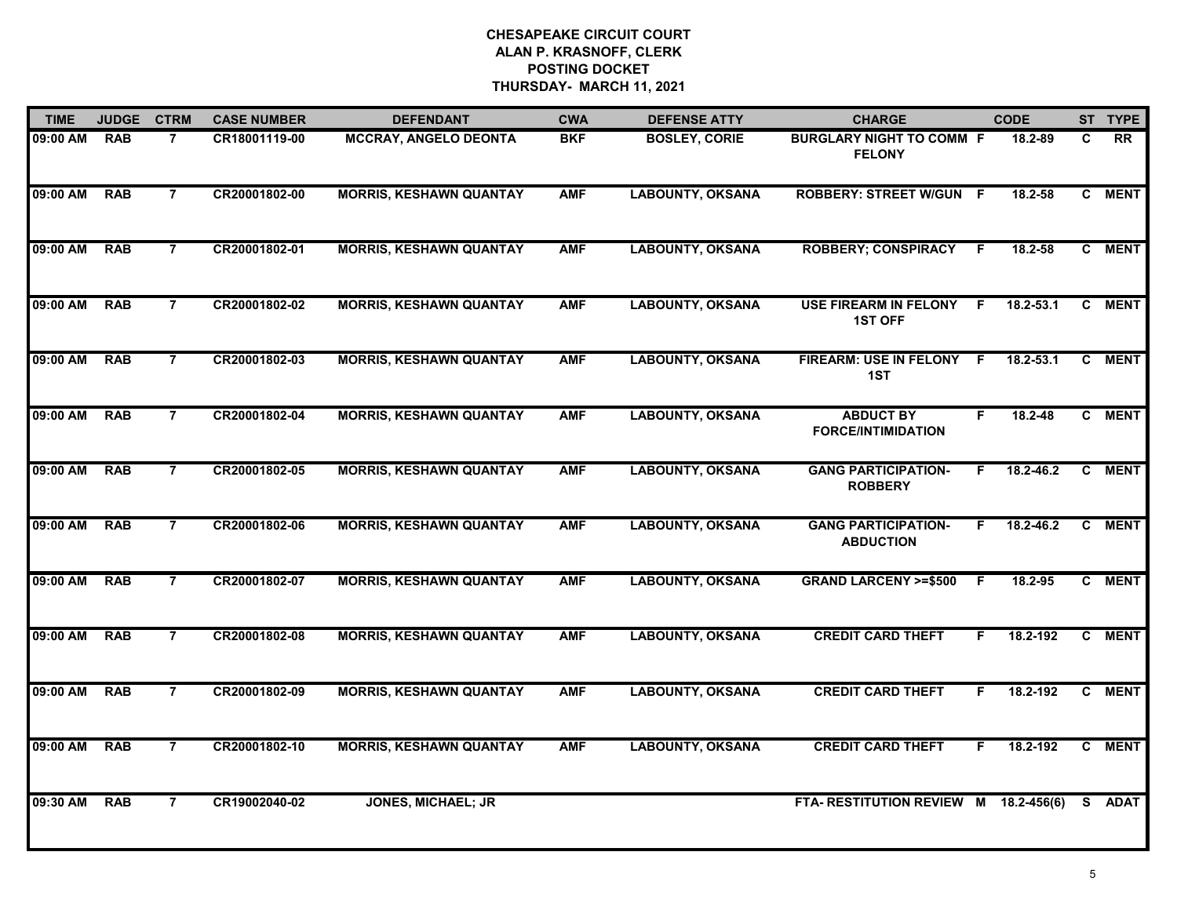| <b>TIME</b> | <b>JUDGE</b> | <b>CTRM</b>    | <b>CASE NUMBER</b> | <b>DEFENDANT</b>               | <b>CWA</b> | <b>DEFENSE ATTY</b>     | <b>CHARGE</b>                                    | <b>CODE</b>       |              | ST TYPE     |
|-------------|--------------|----------------|--------------------|--------------------------------|------------|-------------------------|--------------------------------------------------|-------------------|--------------|-------------|
| 09:00 AM    | <b>RAB</b>   | $\overline{7}$ | CR18001119-00      | <b>MCCRAY, ANGELO DEONTA</b>   | <b>BKF</b> | <b>BOSLEY, CORIE</b>    | <b>BURGLARY NIGHT TO COMM F</b><br><b>FELONY</b> | 18.2-89           | C            | <b>RR</b>   |
| 09:00 AM    | <b>RAB</b>   | $\overline{7}$ | CR20001802-00      | <b>MORRIS, KESHAWN QUANTAY</b> | <b>AMF</b> | <b>LABOUNTY, OKSANA</b> | <b>ROBBERY: STREET W/GUN F</b>                   | 18.2-58           |              | C MENT      |
| 09:00 AM    | <b>RAB</b>   | $\overline{7}$ | CR20001802-01      | <b>MORRIS, KESHAWN QUANTAY</b> | <b>AMF</b> | <b>LABOUNTY, OKSANA</b> | <b>ROBBERY; CONSPIRACY</b>                       | $18.2 - 58$<br>F. |              | C MENT      |
| 09:00 AM    | <b>RAB</b>   | $\overline{7}$ | CR20001802-02      | <b>MORRIS, KESHAWN QUANTAY</b> | <b>AMF</b> | <b>LABOUNTY, OKSANA</b> | <b>USE FIREARM IN FELONY</b><br><b>1ST OFF</b>   | F.<br>18.2-53.1   | $\mathbf{c}$ | <b>MENT</b> |
| 09:00 AM    | <b>RAB</b>   | $\overline{7}$ | CR20001802-03      | <b>MORRIS, KESHAWN QUANTAY</b> | <b>AMF</b> | <b>LABOUNTY, OKSANA</b> | <b>FIREARM: USE IN FELONY</b><br>1ST             | F.<br>18.2-53.1   | C            | <b>MENT</b> |
| 09:00 AM    | <b>RAB</b>   | $\overline{7}$ | CR20001802-04      | <b>MORRIS, KESHAWN QUANTAY</b> | <b>AMF</b> | <b>LABOUNTY, OKSANA</b> | <b>ABDUCT BY</b><br><b>FORCE/INTIMIDATION</b>    | 18.2-48<br>F.     |              | C MENT      |
| 09:00 AM    | <b>RAB</b>   | $\overline{7}$ | CR20001802-05      | <b>MORRIS, KESHAWN QUANTAY</b> | <b>AMF</b> | <b>LABOUNTY, OKSANA</b> | <b>GANG PARTICIPATION-</b><br><b>ROBBERY</b>     | 18.2-46.2<br>F.   | C            | <b>MENT</b> |
| 09:00 AM    | <b>RAB</b>   | $\overline{7}$ | CR20001802-06      | <b>MORRIS, KESHAWN QUANTAY</b> | <b>AMF</b> | <b>LABOUNTY, OKSANA</b> | <b>GANG PARTICIPATION-</b><br><b>ABDUCTION</b>   | 18.2-46.2<br>F.   |              | C MENT      |
| 09:00 AM    | <b>RAB</b>   | 7              | CR20001802-07      | <b>MORRIS, KESHAWN QUANTAY</b> | <b>AMF</b> | <b>LABOUNTY, OKSANA</b> | <b>GRAND LARCENY &gt;=\$500</b>                  | 18.2-95<br>F.     |              | C MENT      |
| 09:00 AM    | <b>RAB</b>   | $\overline{7}$ | CR20001802-08      | <b>MORRIS, KESHAWN QUANTAY</b> | <b>AMF</b> | <b>LABOUNTY, OKSANA</b> | <b>CREDIT CARD THEFT</b>                         | 18.2-192<br>F.    |              | C MENT      |
| 09:00 AM    | <b>RAB</b>   | $\overline{7}$ | CR20001802-09      | <b>MORRIS, KESHAWN QUANTAY</b> | <b>AMF</b> | <b>LABOUNTY, OKSANA</b> | <b>CREDIT CARD THEFT</b>                         | 18.2-192<br>F.    | C            | <b>MENT</b> |
| 09:00 AM    | <b>RAB</b>   | $\overline{7}$ | CR20001802-10      | <b>MORRIS, KESHAWN QUANTAY</b> | <b>AMF</b> | <b>LABOUNTY, OKSANA</b> | <b>CREDIT CARD THEFT</b>                         | 18.2-192<br>F.    | C            | <b>MENT</b> |
| 09:30 AM    | <b>RAB</b>   | $\overline{7}$ | CR19002040-02      | <b>JONES, MICHAEL; JR</b>      |            |                         | FTA-RESTITUTION REVIEW M 18.2-456(6)             |                   |              | S ADAT      |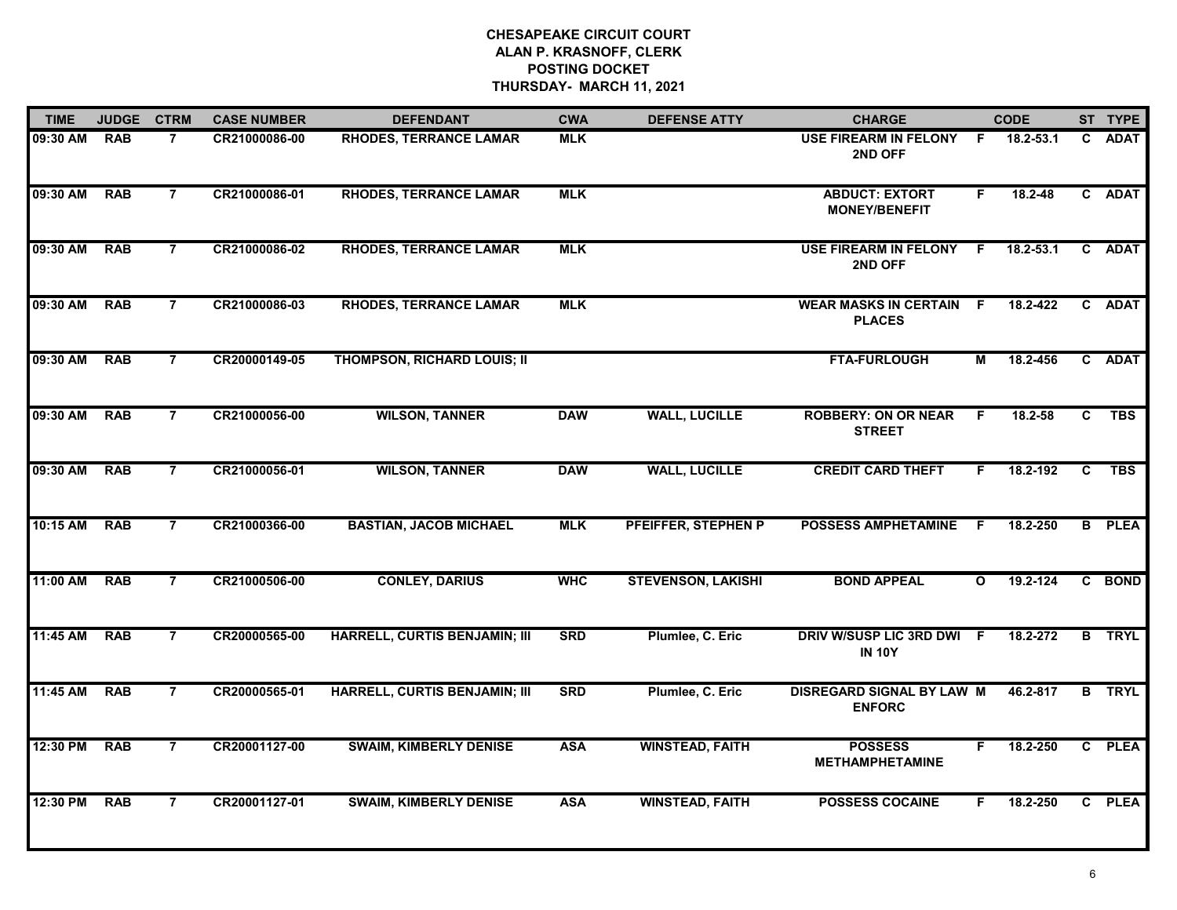| <b>TIME</b> | <b>JUDGE</b> | <b>CTRM</b>    | <b>CASE NUMBER</b> | <b>DEFENDANT</b>                     | <b>CWA</b> | <b>DEFENSE ATTY</b>       | <b>CHARGE</b>                                     |              | <b>CODE</b>   |              | ST TYPE       |
|-------------|--------------|----------------|--------------------|--------------------------------------|------------|---------------------------|---------------------------------------------------|--------------|---------------|--------------|---------------|
| 09:30 AM    | <b>RAB</b>   | $\overline{7}$ | CR21000086-00      | <b>RHODES, TERRANCE LAMAR</b>        | <b>MLK</b> |                           | USE FIREARM IN FELONY F<br>2ND OFF                |              | 18.2-53.1     | C.           | <b>ADAT</b>   |
| 09:30 AM    | <b>RAB</b>   | $\overline{7}$ | CR21000086-01      | <b>RHODES, TERRANCE LAMAR</b>        | <b>MLK</b> |                           | <b>ABDUCT: EXTORT</b><br><b>MONEY/BENEFIT</b>     | F.           | 18.2-48       |              | C ADAT        |
| 09:30 AM    | <b>RAB</b>   | $\overline{7}$ | CR21000086-02      | <b>RHODES, TERRANCE LAMAR</b>        | <b>MLK</b> |                           | <b>USE FIREARM IN FELONY</b><br>2ND OFF           | E            | $18.2 - 53.1$ | $\mathbf{c}$ | <b>ADAT</b>   |
| 09:30 AM    | <b>RAB</b>   | $\overline{7}$ | CR21000086-03      | <b>RHODES, TERRANCE LAMAR</b>        | <b>MLK</b> |                           | <b>WEAR MASKS IN CERTAIN F</b><br><b>PLACES</b>   |              | 18.2-422      |              | C ADAT        |
| 09:30 AM    | <b>RAB</b>   | $\overline{7}$ | CR20000149-05      | <b>THOMPSON, RICHARD LOUIS; II</b>   |            |                           | <b>FTA-FURLOUGH</b>                               | М            | 18.2-456      |              | C ADAT        |
| 09:30 AM    | <b>RAB</b>   | $\overline{7}$ | CR21000056-00      | <b>WILSON, TANNER</b>                | <b>DAW</b> | <b>WALL, LUCILLE</b>      | <b>ROBBERY: ON OR NEAR</b><br><b>STREET</b>       | F.           | 18.2-58       | C            | <b>TBS</b>    |
| 09:30 AM    | <b>RAB</b>   | $\overline{7}$ | CR21000056-01      | <b>WILSON, TANNER</b>                | <b>DAW</b> | <b>WALL, LUCILLE</b>      | <b>CREDIT CARD THEFT</b>                          | F.           | 18.2-192      | C            | <b>TBS</b>    |
| 10:15 AM    | <b>RAB</b>   | $\overline{7}$ | CR21000366-00      | <b>BASTIAN, JACOB MICHAEL</b>        | <b>MLK</b> | PFEIFFER, STEPHEN P       | <b>POSSESS AMPHETAMINE</b>                        | F.           | 18.2-250      | B            | <b>PLEA</b>   |
| 11:00 AM    | <b>RAB</b>   | $\overline{7}$ | CR21000506-00      | <b>CONLEY, DARIUS</b>                | <b>WHC</b> | <b>STEVENSON, LAKISHI</b> | <b>BOND APPEAL</b>                                | $\mathbf{o}$ | 19.2-124      |              | C BOND        |
| 11:45 AM    | <b>RAB</b>   | $\overline{7}$ | CR20000565-00      | <b>HARRELL, CURTIS BENJAMIN; III</b> | <b>SRD</b> | Plumlee, C. Eric          | DRIV W/SUSP LIC 3RD DWI F<br><b>IN 10Y</b>        |              | 18.2-272      |              | <b>B</b> TRYL |
| 11:45 AM    | <b>RAB</b>   | $\overline{7}$ | CR20000565-01      | HARRELL, CURTIS BENJAMIN; III        | <b>SRD</b> | Plumlee, C. Eric          | <b>DISREGARD SIGNAL BY LAW M</b><br><b>ENFORC</b> |              | 46.2-817      |              | <b>B</b> TRYL |
| 12:30 PM    | <b>RAB</b>   | $\overline{7}$ | CR20001127-00      | <b>SWAIM, KIMBERLY DENISE</b>        | <b>ASA</b> | <b>WINSTEAD, FAITH</b>    | <b>POSSESS</b><br><b>METHAMPHETAMINE</b>          | F.           | 18.2-250      |              | C PLEA        |
| 12:30 PM    | <b>RAB</b>   | $\overline{7}$ | CR20001127-01      | <b>SWAIM, KIMBERLY DENISE</b>        | <b>ASA</b> | <b>WINSTEAD, FAITH</b>    | <b>POSSESS COCAINE</b>                            | F            | 18.2-250      | $\mathbf{C}$ | <b>PLEA</b>   |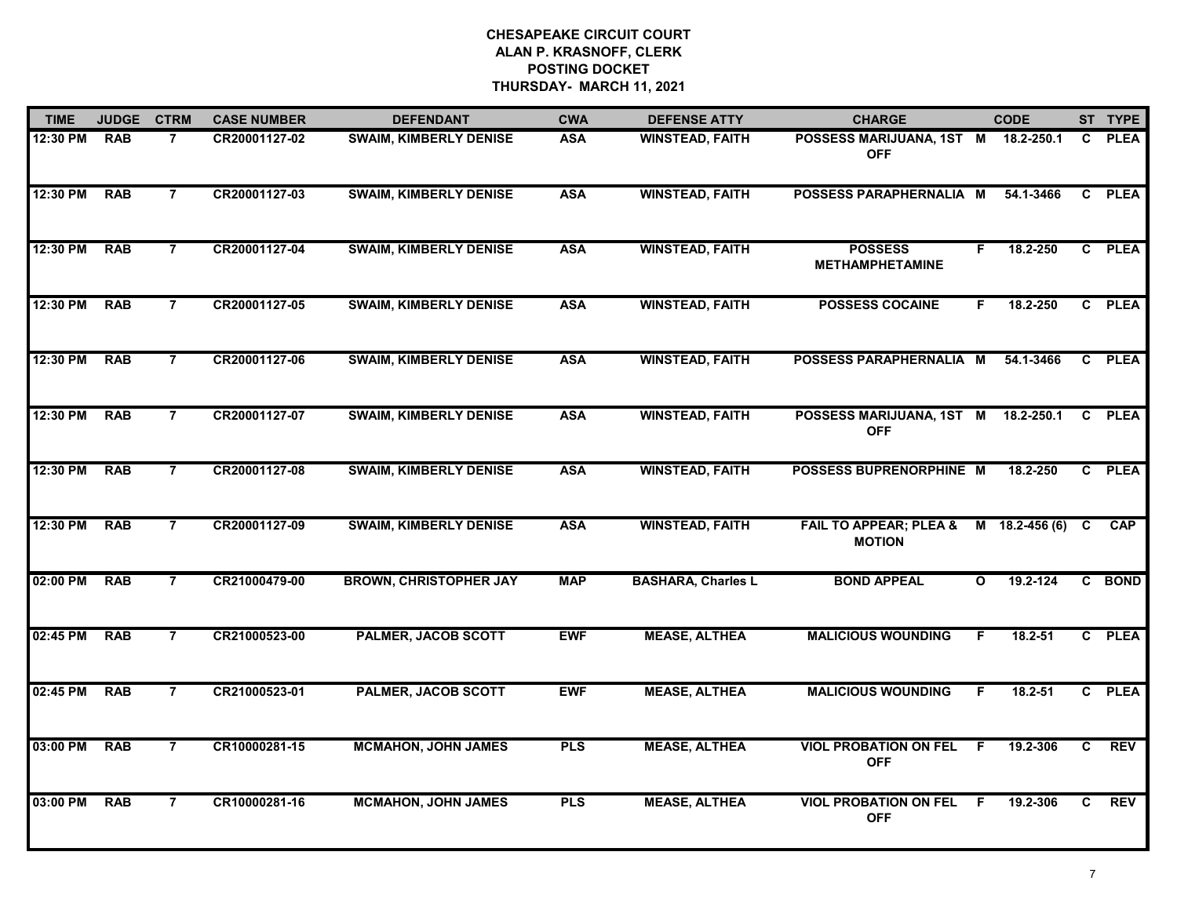| <b>TIME</b> | <b>JUDGE</b> | <b>CTRM</b>    | <b>CASE NUMBER</b> | <b>DEFENDANT</b>              | <b>CWA</b> | <b>DEFENSE ATTY</b>       | <b>CHARGE</b>                                      | <b>CODE</b>      |           |   | ST TYPE     |
|-------------|--------------|----------------|--------------------|-------------------------------|------------|---------------------------|----------------------------------------------------|------------------|-----------|---|-------------|
| 12:30 PM    | <b>RAB</b>   | $\overline{7}$ | CR20001127-02      | <b>SWAIM, KIMBERLY DENISE</b> | <b>ASA</b> | <b>WINSTEAD, FAITH</b>    | POSSESS MARIJUANA, 1ST M 18.2-250.1<br><b>OFF</b>  |                  |           | C | <b>PLEA</b> |
| 12:30 PM    | <b>RAB</b>   | $\overline{7}$ | CR20001127-03      | <b>SWAIM, KIMBERLY DENISE</b> | <b>ASA</b> | <b>WINSTEAD, FAITH</b>    | POSSESS PARAPHERNALIA M                            |                  | 54.1-3466 | C | <b>PLEA</b> |
| 12:30 PM    | <b>RAB</b>   | $\overline{7}$ | CR20001127-04      | <b>SWAIM, KIMBERLY DENISE</b> | <b>ASA</b> | <b>WINSTEAD, FAITH</b>    | <b>POSSESS</b><br><b>METHAMPHETAMINE</b>           | F                | 18.2-250  |   | C PLEA      |
| 12:30 PM    | <b>RAB</b>   | $\overline{7}$ | CR20001127-05      | <b>SWAIM, KIMBERLY DENISE</b> | <b>ASA</b> | <b>WINSTEAD, FAITH</b>    | <b>POSSESS COCAINE</b>                             | F.               | 18.2-250  |   | C PLEA      |
| 12:30 PM    | <b>RAB</b>   | $\overline{7}$ | CR20001127-06      | <b>SWAIM, KIMBERLY DENISE</b> | <b>ASA</b> | <b>WINSTEAD, FAITH</b>    | POSSESS PARAPHERNALIA M                            |                  | 54.1-3466 |   | C PLEA      |
| 12:30 PM    | <b>RAB</b>   | $\overline{7}$ | CR20001127-07      | <b>SWAIM, KIMBERLY DENISE</b> | <b>ASA</b> | <b>WINSTEAD, FAITH</b>    | POSSESS MARIJUANA, 1ST M 18.2-250.1<br><b>OFF</b>  |                  |           | C | <b>PLEA</b> |
| 12:30 PM    | <b>RAB</b>   | $\overline{7}$ | CR20001127-08      | <b>SWAIM, KIMBERLY DENISE</b> | <b>ASA</b> | <b>WINSTEAD, FAITH</b>    | POSSESS BUPRENORPHINE M                            |                  | 18.2-250  | C | <b>PLEA</b> |
| 12:30 PM    | <b>RAB</b>   | $\overline{7}$ | CR20001127-09      | <b>SWAIM, KIMBERLY DENISE</b> | <b>ASA</b> | <b>WINSTEAD, FAITH</b>    | <b>FAIL TO APPEAR; PLEA &amp;</b><br><b>MOTION</b> | M 18.2-456 (6) C |           |   | <b>CAP</b>  |
| 02:00 PM    | <b>RAB</b>   | $\overline{7}$ | CR21000479-00      | <b>BROWN, CHRISTOPHER JAY</b> | <b>MAP</b> | <b>BASHARA, Charles L</b> | <b>BOND APPEAL</b>                                 | $\mathbf{o}$     | 19.2-124  |   | C BOND      |
| 02:45 PM    | <b>RAB</b>   | $\overline{7}$ | CR21000523-00      | <b>PALMER, JACOB SCOTT</b>    | <b>EWF</b> | <b>MEASE, ALTHEA</b>      | <b>MALICIOUS WOUNDING</b>                          | F.               | 18.2-51   |   | C PLEA      |
| 02:45 PM    | <b>RAB</b>   | $\overline{7}$ | CR21000523-01      | <b>PALMER, JACOB SCOTT</b>    | <b>EWF</b> | <b>MEASE, ALTHEA</b>      | <b>MALICIOUS WOUNDING</b>                          | F.               | 18.2-51   |   | C PLEA      |
| 03:00 PM    | <b>RAB</b>   | $\overline{7}$ | CR10000281-15      | <b>MCMAHON, JOHN JAMES</b>    | <b>PLS</b> | <b>MEASE, ALTHEA</b>      | <b>VIOL PROBATION ON FEL</b><br><b>OFF</b>         | F                | 19.2-306  | C | <b>REV</b>  |
| 03:00 PM    | <b>RAB</b>   | $\overline{7}$ | CR10000281-16      | <b>MCMAHON, JOHN JAMES</b>    | <b>PLS</b> | <b>MEASE, ALTHEA</b>      | <b>VIOL PROBATION ON FEL</b><br><b>OFF</b>         | - F              | 19.2-306  | C | <b>REV</b>  |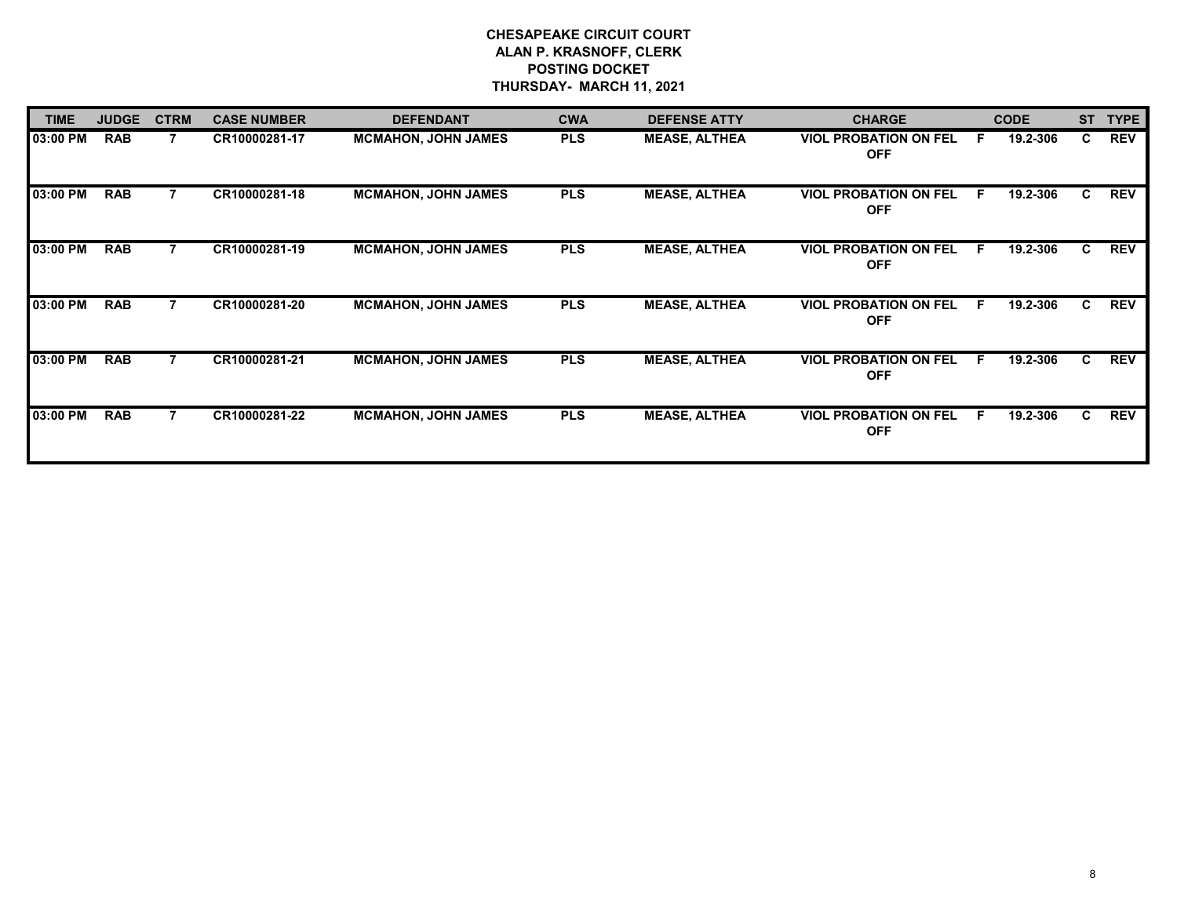| <b>TIME</b> | <b>JUDGE</b> | <b>CTRM</b> | <b>CASE NUMBER</b> | <b>DEFENDANT</b>           | <b>CWA</b> | <b>DEFENSE ATTY</b>  | <b>CHARGE</b>                              | <b>CODE</b>    |    | ST TYPE    |
|-------------|--------------|-------------|--------------------|----------------------------|------------|----------------------|--------------------------------------------|----------------|----|------------|
| 03:00 PM    | <b>RAB</b>   |             | CR10000281-17      | <b>MCMAHON, JOHN JAMES</b> | <b>PLS</b> | <b>MEASE, ALTHEA</b> | <b>VIOL PROBATION ON FEL</b><br><b>OFF</b> | 19.2-306<br>F. | C  | <b>REV</b> |
| 03:00 PM    | <b>RAB</b>   |             | CR10000281-18      | <b>MCMAHON, JOHN JAMES</b> | <b>PLS</b> | <b>MEASE, ALTHEA</b> | <b>VIOL PROBATION ON FEL</b><br><b>OFF</b> | 19.2-306<br>F. | C. | <b>REV</b> |
| 03:00 PM    | <b>RAB</b>   |             | CR10000281-19      | <b>MCMAHON, JOHN JAMES</b> | <b>PLS</b> | <b>MEASE, ALTHEA</b> | <b>VIOL PROBATION ON FEL</b><br><b>OFF</b> | 19.2-306<br>F. | C  | <b>REV</b> |
| 03:00 PM    | <b>RAB</b>   |             | CR10000281-20      | <b>MCMAHON, JOHN JAMES</b> | <b>PLS</b> | <b>MEASE, ALTHEA</b> | <b>VIOL PROBATION ON FEL</b><br><b>OFF</b> | F.<br>19.2-306 | C  | <b>REV</b> |
| 03:00 PM    | <b>RAB</b>   |             | CR10000281-21      | <b>MCMAHON, JOHN JAMES</b> | <b>PLS</b> | <b>MEASE, ALTHEA</b> | <b>VIOL PROBATION ON FEL</b><br><b>OFF</b> | 19.2-306<br>F. | C. | <b>REV</b> |
| 03:00 PM    | <b>RAB</b>   |             | CR10000281-22      | <b>MCMAHON, JOHN JAMES</b> | <b>PLS</b> | <b>MEASE, ALTHEA</b> | <b>VIOL PROBATION ON FEL</b><br><b>OFF</b> | 19.2-306<br>F. | C  | <b>REV</b> |